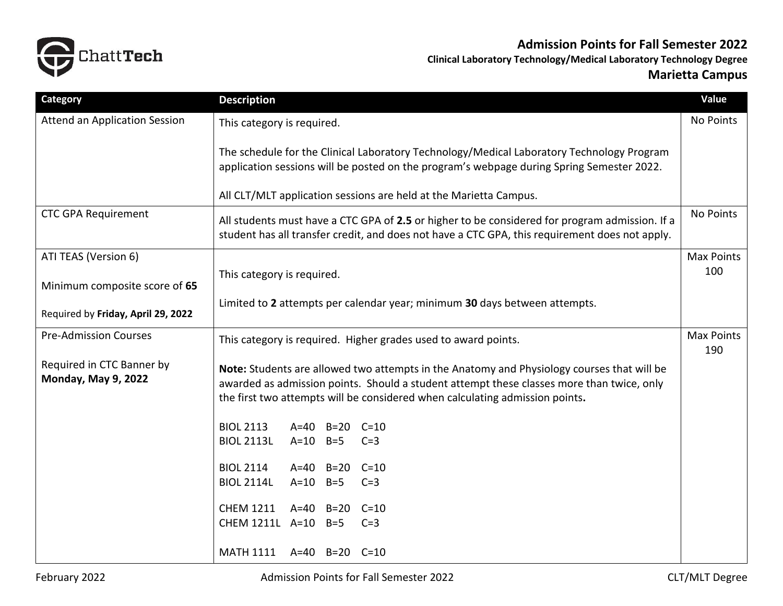

**Admission Points for Fall Semester 2022**

**Clinical Laboratory Technology/Medical Laboratory Technology Degree Marietta Campus**

| <b>Category</b>                                         | <b>Description</b>                                                                                                                                                                                                                                                      | Value                    |  |  |
|---------------------------------------------------------|-------------------------------------------------------------------------------------------------------------------------------------------------------------------------------------------------------------------------------------------------------------------------|--------------------------|--|--|
| <b>Attend an Application Session</b>                    | This category is required.                                                                                                                                                                                                                                              |                          |  |  |
|                                                         | The schedule for the Clinical Laboratory Technology/Medical Laboratory Technology Program<br>application sessions will be posted on the program's webpage during Spring Semester 2022.<br>All CLT/MLT application sessions are held at the Marietta Campus.             |                          |  |  |
| <b>CTC GPA Requirement</b>                              |                                                                                                                                                                                                                                                                         |                          |  |  |
|                                                         | No Points<br>All students must have a CTC GPA of 2.5 or higher to be considered for program admission. If a<br>student has all transfer credit, and does not have a CTC GPA, this requirement does not apply.                                                           |                          |  |  |
| ATI TEAS (Version 6)                                    |                                                                                                                                                                                                                                                                         | <b>Max Points</b><br>100 |  |  |
| Minimum composite score of 65                           | This category is required.                                                                                                                                                                                                                                              |                          |  |  |
| Required by Friday, April 29, 2022                      | Limited to 2 attempts per calendar year; minimum 30 days between attempts.                                                                                                                                                                                              |                          |  |  |
| <b>Pre-Admission Courses</b>                            | This category is required. Higher grades used to award points.                                                                                                                                                                                                          | <b>Max Points</b><br>190 |  |  |
| Required in CTC Banner by<br><b>Monday, May 9, 2022</b> | Note: Students are allowed two attempts in the Anatomy and Physiology courses that will be<br>awarded as admission points. Should a student attempt these classes more than twice, only<br>the first two attempts will be considered when calculating admission points. |                          |  |  |
|                                                         | <b>BIOL 2113</b><br>A=40 B=20 C=10                                                                                                                                                                                                                                      |                          |  |  |
|                                                         | <b>BIOL 2113L</b><br>$A=10$ B=5<br>$C=3$                                                                                                                                                                                                                                |                          |  |  |
|                                                         | <b>BIOL 2114</b><br>$A=40$ $B=20$ $C=10$<br><b>BIOL 2114L</b><br>$A=10$<br>$B=5$<br>$C=3$                                                                                                                                                                               |                          |  |  |
|                                                         | <b>CHEM 1211</b><br>$A=40$<br>$B=20$<br>$C = 10$<br>CHEM 1211L A=10<br>$B=5$<br>$C=3$                                                                                                                                                                                   |                          |  |  |
|                                                         | MATH 1111 A=40 B=20 C=10                                                                                                                                                                                                                                                |                          |  |  |